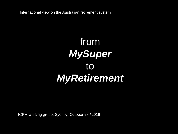International view on the Australian retirement system

## from *MySuper* to *MyRetirement*

ICPM working group, Sydney, October 28<sup>th</sup> 2019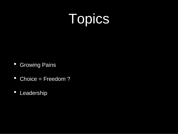# Topics

- Growing Pains
- Choice = Freedom?
- Leadership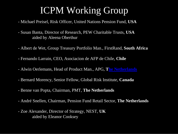## ICPM Working Group

- Michael Preisel, Risk Officer, United Nations Pension Fund, **USA**
- Susan Banta, Director of Research, PEW Charitable Trusts, **USA** aided by Aleena Oberthur
- Albert de Wet, Group Treasury Portfolio Man., FirstRand, **South Africa**
- Fernando Larrain, CEO, Asociacion de AFP de Chile, **Chile**
- Alwin Oerlemans, Head of Product Man., APG, **[The Netherlands](#page-3-0)**
- Bernard Morency, Senior Fellow, Global Risk Institute, **Canada**
- Benne van Popta, Chairman, PMT, **The Netherlands**
- André Snellen, Chairman, Pension Fund Retail Sector, **The Netherlands**
- Zoe Alexander, Director of Strategy, NEST, **UK** aided by Eleanor Cooksey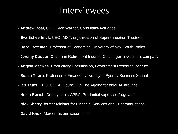### Interviewees

- <span id="page-3-0"></span>- **Andrew Boal**, CEO, Rice Warner, Consultant-Actuaries
- **Eva Scheerlinck**, CEO, AIST, organisation of Superannuation Trustees
- **Hazel Bateman**, Professor of Economics, University of New South Wales
- **Jeremy Cooper**, Chairman Retirement Income, Challenger, investment company
- **Angela MacRae**, Productivity Commission, Government Research Institute
- **Susan Thorp**, Professor of Finance, University of Sydney Business School
- **Ian Yates**, CEO, COTA, Council On The Ageing for older Australians
- **Helen Rowell**, Deputy chair, APRA, Prudential supervisor/regulator
- **Nick Sherry**, former Minister for Financial Services and Superannuations
- **David Knox,** Mercer, as our liaison officer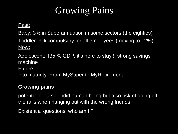## Growing Pains

Past:

Baby: 3% in Superannuation in some sectors (the eighties) Toddler: 9% compulsory for all employees (moving to 12%) Now:

Adolescent: 135 % GDP, it's here to stay !, strong savings machine

Future:

Into maturity: From MySuper to MyRetirement

### **Growing pains:**

potential for a splendid human being but also risk of going off the rails when hanging out with the wrong friends.

Existential questions: who am I ?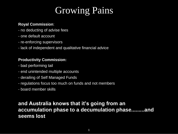## Growing Pains

### **Royal Commission**:

- no deducting of advise fees
- one default account
- re-enforcing supervisors
- lack of independent and qualitative financial advice

### **Productivity Commission:**

- bad performing tail
- end unintended multiple accounts
- derailing of Self Managed Funds
- regulations focus too much on funds and not members
- board member skills

### **and Australia knows that it's going from an accumulation phase to a decumulation phase.........and seems lost**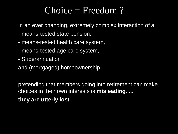### Choice = Freedom?

In an ever changing, extremely complex interaction of a

- means-tested state pension,
- means-tested health care system,
- means-tested age care system,
- Superannuation
- and (mortgaged) homeownership

pretending that members going into retirement can make choices in their own interests is **misleading.....**

**they are utterly lost**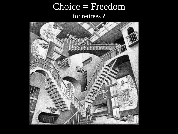### Choice = Freedom for retirees ?

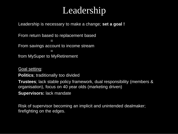### Leadership

Leadership is necessary to make a change; **set a goal !**

From return based to replacement based  $\Box$ From savings account to income stream = from MySuper to MyRetirement

Goal setting:

**Politics**; traditionally too divided

**Trustees**; lack stable policy framework, dual responsibility (members & organisation), focus on 40 year olds (marketing driven)

**Supervisors:** lack mandate

Risk of supervisor becoming an implicit and unintended dealmaker; firefighting on the edges.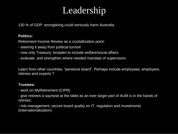### Leadership

130 % of GDP: wrongdoing could seriously harm Australia.

#### **Politics:**

Retirement Income Review as a crystallization point;

- steering it away from political turmoil
- now only Treasury; broaden to include welfare/social affairs
- evaluate and strengthen where needed mandate of supervisors

Learn from other countries; "pensions board". Perhaps include employees, employers, retirees and experts ?

#### **Trustees:**

- work on MyRetirement (CIPR)
- give retirees a say/seat at the table as an ever larger part of AUM is in the hands of retirees;
- risk-management; secure board quality on IT, regulation and investments (internationalization)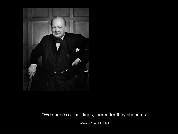

### "We shape our buildings; thereafter they shape us"

Winston Churchill, 1943.